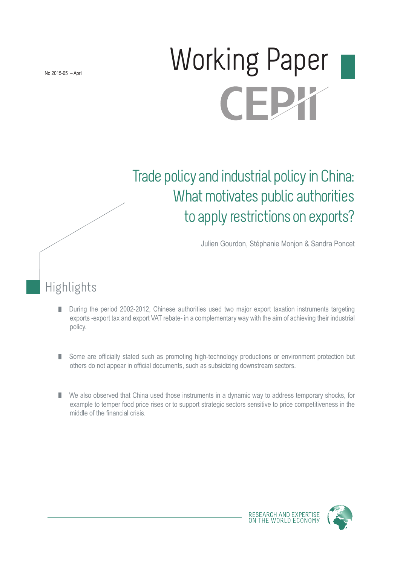# Norking Paper CEI

# Trade policy and industrial policy in China: What motivates public authorities to apply restrictions on exports?

Julien Gourdon, Stéphanie Monjon & Sandra Poncet

Highlights

- During the period 2002-2012, Chinese authorities used two major export taxation instruments targeting П exports -export tax and export VAT rebate- in a complementary way with the aim of achieving their industrial policy.
- Some are officially stated such as promoting high-technology productions or environment protection but П others do not appear in official documents, such as subsidizing downstream sectors.
- We also observed that China used those instruments in a dynamic way to address temporary shocks, for example to temper food price rises or to support strategic sectors sensitive to price competitiveness in the middle of the financial crisis.

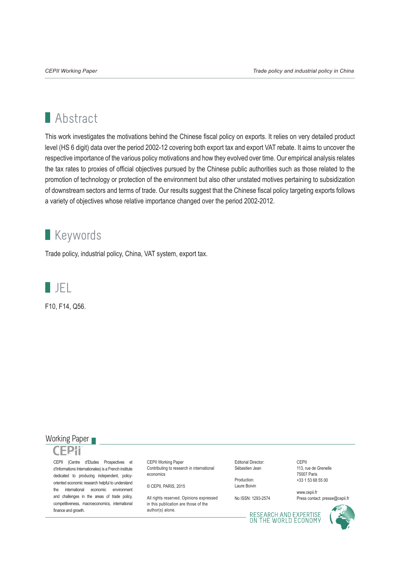# **Abstract**

This work investigates the motivations behind the Chinese fiscal policy on exports. It relies on very detailed product level (HS 6 digit) data over the period 2002-12 covering both export tax and export VAT rebate. It aims to uncover the respective importance of the various policy motivations and how they evolved over time. Our empirical analysis relates the tax rates to proxies of official objectives pursued by the Chinese public authorities such as those related to the promotion of technology or protection of the environment but also other unstated motives pertaining to subsidization of downstream sectors and terms of trade. Our results suggest that the Chinese fiscal policy targeting exports follows a variety of objectives whose relative importance changed over the period 2002-2012.

# **Keywords**

Trade policy, industrial policy, China, VAT system, export tax.



F10, F14, Q56.

#### Working Paper



CEPII (Centre d'Etudes Prospectives et d'Informations Internationales) is a French institute dedicated to producing independent, policyoriented economic research helpful to understand the international economic environment and challenges in the areas of trade policy, competitiveness, macroeconomics, international finance and growth.

CEPII Working Paper Contributing to research in international economics

© CEPII, PARIS, 2015

All rights reserved. Opinions expressed. in this publication are those of the author(s) alone.

Editorial Director: Sébastien Jean

Production: Laure Boivin

No ISSN: 1293-2574

CEPII 113, rue de Grenelle 75007 Paris +33 1 53 68 55 00

www.cepii.fr Press contact: presse@cepii.fr

RESEARCH AND EXPERTISE<br>ON THE WORLD ECONOMY

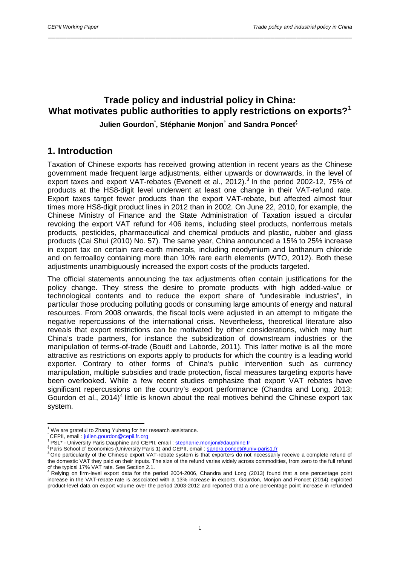# **Trade policy and industrial policy in China: What motivates public authorities to apply restrictions on exports?[1](#page-2-0)**

\_\_\_\_\_\_\_\_\_\_\_\_\_\_\_\_\_\_\_\_\_\_\_\_\_\_\_\_\_\_\_\_\_\_\_\_\_\_\_\_\_\_\_\_\_\_\_\_\_\_\_\_\_\_\_\_\_\_\_\_\_\_\_\_\_\_\_\_\_\_\_\_\_\_\_\_\_\_\_\_\_\_

#### **Julien Gourdon\* , Stéphanie Monjon† and Sandra Poncet<sup>ξ</sup>[2](#page-2-1)**

# **1. Introduction**

Taxation of Chinese exports has received growing attention in recent years as the Chinese government made frequent large adjustments, either upwards or downwards, in the level of export taxes and export VAT-rebates (Evenett et al., 2012).<sup>[3](#page-2-2)</sup> In the period 2002-12, 75% of products at the HS8-digit level underwent at least one change in their VAT-refund rate. Export taxes target fewer products than the export VAT-rebate, but affected almost four times more HS8-digit product lines in 2012 than in 2002. On June 22, 2010, for example, the Chinese Ministry of Finance and the State Administration of Taxation issued a circular revoking the export VAT refund for 406 items, including steel products, nonferrous metals products, pesticides, pharmaceutical and chemical products and plastic, rubber and glass products (Cai Shui (2010) No. 57). The same year, China announced a 15% to 25% increase in export tax on certain rare-earth minerals, including neodymium and lanthanum chloride and on ferroalloy containing more than 10% rare earth elements (WTO, 2012). Both these adjustments unambiguously increased the export costs of the products targeted.

The official statements announcing the tax adjustments often contain justifications for the policy change. They stress the desire to promote products with high added-value or technological contents and to reduce the export share of "undesirable industries", in particular those producing polluting goods or consuming large amounts of energy and natural resources. From 2008 onwards, the fiscal tools were adjusted in an attempt to mitigate the negative repercussions of the international crisis. Nevertheless, theoretical literature also reveals that export restrictions can be motivated by other considerations, which may hurt China's trade partners, for instance the subsidization of downstream industries or the manipulation of terms-of-trade (Bouët and Laborde, 2011). This latter motive is all the more attractive as restrictions on exports apply to products for which the country is a leading world exporter. Contrary to other forms of China's public intervention such as currency manipulation, multiple subsidies and trade protection, fiscal measures targeting exports have been overlooked. While a few recent studies emphasize that export VAT rebates have significant repercussions on the country's export performance (Chandra and Long, 2013; Gourdon et al., 201[4](#page-2-3))<sup>4</sup> little is known about the real motives behind the Chinese export tax system.

<span id="page-2-2"></span>

<span id="page-2-1"></span><span id="page-2-0"></span><sup>&</sup>lt;sup>1</sup> We are grateful to Zhang Yuheng for her research assistance.<br>
CEPII, email : [julien.gourdon@cepii.fr.org](mailto:julien.gourdon@cepii.fr.org)<br>
<sup>†</sup> PSL\* - University Paris Dauphine and CEPII, email : <u>stephanie.monjon@dauphine.fr</u><br>
<sup>†</sup> PSL\* - University Pa the domestic VAT they paid on their inputs. The size of the refund varies widely across commodities, from zero to the full refund<br>of the typical 17% VAT rate. See Section 2.1.

<span id="page-2-3"></span>Relying on firm-level export data for the period 2004-2006, Chandra and Long (2013) found that a one percentage point increase in the VAT-rebate rate is associated with a 13% increase in exports. Gourdon, Monjon and Poncet (2014) exploited product-level data on export volume over the period 2003-2012 and reported that a one percentage point increase in refunded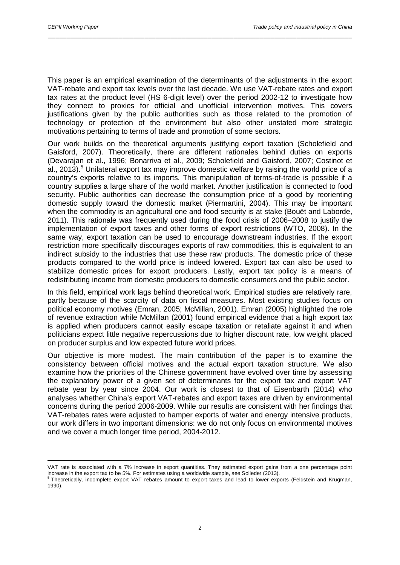1

This paper is an empirical examination of the determinants of the adjustments in the export VAT-rebate and export tax levels over the last decade. We use VAT-rebate rates and export tax rates at the product level (HS 6-digit level) over the period 2002-12 to investigate how they connect to proxies for official and unofficial intervention motives. This covers justifications given by the public authorities such as those related to the promotion of technology or protection of the environment but also other unstated more strategic motivations pertaining to terms of trade and promotion of some sectors.

\_\_\_\_\_\_\_\_\_\_\_\_\_\_\_\_\_\_\_\_\_\_\_\_\_\_\_\_\_\_\_\_\_\_\_\_\_\_\_\_\_\_\_\_\_\_\_\_\_\_\_\_\_\_\_\_\_\_\_\_\_\_\_\_\_\_\_\_\_\_\_\_\_\_\_\_\_\_\_\_\_\_

Our work builds on the theoretical arguments justifying export taxation (Scholefield and Gaisford, 2007). Theoretically, there are different rationales behind duties on exports (Devarajan et al., 1996; Bonarriva et al., 2009; Scholefield and Gaisford, 2007; Costinot et al., 2013).<sup>[5](#page-3-0)</sup> Unilateral export tax may improve domestic welfare by raising the world price of a country's exports relative to its imports. This manipulation of terms-of-trade is possible if a country supplies a large share of the world market. Another justification is connected to food security. Public authorities can decrease the consumption price of a good by reorienting domestic supply toward the domestic market (Piermartini, 2004). This may be important when the commodity is an agricultural one and food security is at stake (Bouët and Laborde, 2011). This rationale was frequently used during the food crisis of 2006–2008 to justify the implementation of export taxes and other forms of export restrictions (WTO, 2008). In the same way, export taxation can be used to encourage downstream industries. If the export restriction more specifically discourages exports of raw commodities, this is equivalent to an indirect subsidy to the industries that use these raw products. The domestic price of these products compared to the world price is indeed lowered. Export tax can also be used to stabilize domestic prices for export producers. Lastly, export tax policy is a means of redistributing income from domestic producers to domestic consumers and the public sector.

In this field, empirical work lags behind theoretical work. Empirical studies are relatively rare, partly because of the scarcity of data on fiscal measures. Most existing studies focus on political economy motives (Emran, 2005; McMillan, 2001). Emran (2005) highlighted the role of revenue extraction while McMillan (2001) found empirical evidence that a high export tax is applied when producers cannot easily escape taxation or retaliate against it and when politicians expect little negative repercussions due to higher discount rate, low weight placed on producer surplus and low expected future world prices.

Our objective is more modest. The main contribution of the paper is to examine the consistency between official motives and the actual export taxation structure. We also examine how the priorities of the Chinese government have evolved over time by assessing the explanatory power of a given set of determinants for the export tax and export VAT rebate year by year since 2004. Our work is closest to that of Eisenbarth (2014) who analyses whether China's export VAT-rebates and export taxes are driven by environmental concerns during the period 2006-2009. While our results are consistent with her findings that VAT-rebates rates were adjusted to hamper exports of water and energy intensive products, our work differs in two important dimensions: we do not only focus on environmental motives and we cover a much longer time period, 2004-2012.

VAT rate is associated with a 7% increase in export quantities. They estimated export gains from a one percentage point

<span id="page-3-0"></span>increase in the export tax to be 5%. For estimates using a worldwide sample, see Solleder (2013).<br><sup>5</sup> Theoretically, incomplete export VAT rebates amount to export taxes and lead to lower exports (Feldstein and Krugman, 1990).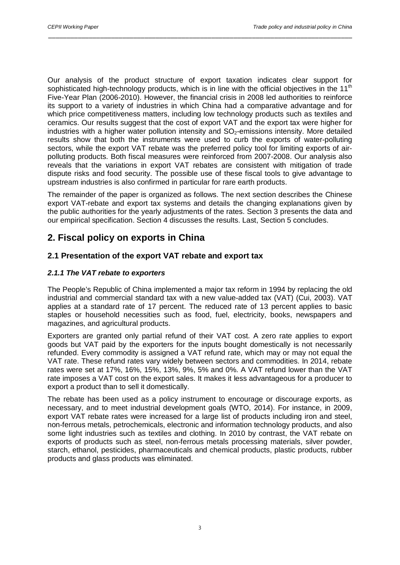Our analysis of the product structure of export taxation indicates clear support for sophisticated high-technology products, which is in line with the official objectives in the 11<sup>th</sup> Five-Year Plan (2006-2010). However, the financial crisis in 2008 led authorities to reinforce its support to a variety of industries in which China had a comparative advantage and for which price competitiveness matters, including low technology products such as textiles and ceramics. Our results suggest that the cost of export VAT and the export tax were higher for industries with a higher water pollution intensity and  $SO<sub>2</sub>$ -emissions intensity. More detailed results show that both the instruments were used to curb the exports of water-polluting sectors, while the export VAT rebate was the preferred policy tool for limiting exports of airpolluting products. Both fiscal measures were reinforced from 2007-2008. Our analysis also reveals that the variations in export VAT rebates are consistent with mitigation of trade dispute risks and food security. The possible use of these fiscal tools to give advantage to upstream industries is also confirmed in particular for rare earth products.

\_\_\_\_\_\_\_\_\_\_\_\_\_\_\_\_\_\_\_\_\_\_\_\_\_\_\_\_\_\_\_\_\_\_\_\_\_\_\_\_\_\_\_\_\_\_\_\_\_\_\_\_\_\_\_\_\_\_\_\_\_\_\_\_\_\_\_\_\_\_\_\_\_\_\_\_\_\_\_\_\_\_

The remainder of the paper is organized as follows. The next section describes the Chinese export VAT-rebate and export tax systems and details the changing explanations given by the public authorities for the yearly adjustments of the rates. Section 3 presents the data and our empirical specification. Section 4 discusses the results. Last, Section 5 concludes.

# **2. Fiscal policy on exports in China**

#### **2.1 Presentation of the export VAT rebate and export tax**

#### *2.1.1 The VAT rebate to exporters*

The People's Republic of China implemented a major tax reform in 1994 by replacing the old industrial and commercial standard tax with a new value-added tax (VAT) (Cui, 2003). VAT applies at a standard rate of 17 percent. The reduced rate of 13 percent applies to basic staples or household necessities such as food, fuel, electricity, books, newspapers and magazines, and agricultural products.

Exporters are granted only partial refund of their VAT cost. A zero rate applies to export goods but VAT paid by the exporters for the inputs bought domestically is not necessarily refunded. Every commodity is assigned a VAT refund rate, which may or may not equal the VAT rate. These refund rates vary widely between sectors and commodities. In 2014, rebate rates were set at 17%, 16%, 15%, 13%, 9%, 5% and 0%. A VAT refund lower than the VAT rate imposes a VAT cost on the export sales. It makes it less advantageous for a producer to export a product than to sell it domestically.

The rebate has been used as a policy instrument to encourage or discourage exports, as necessary, and to meet industrial development goals (WTO, 2014). For instance, in 2009, export VAT rebate rates were increased for a large list of products including iron and steel. non-ferrous metals, petrochemicals, electronic and information technology products, and also some light industries such as textiles and clothing. In 2010 by contrast, the VAT rebate on exports of products such as steel, non-ferrous metals processing materials, silver powder, starch, ethanol, pesticides, pharmaceuticals and chemical products, plastic products, rubber products and glass products was eliminated.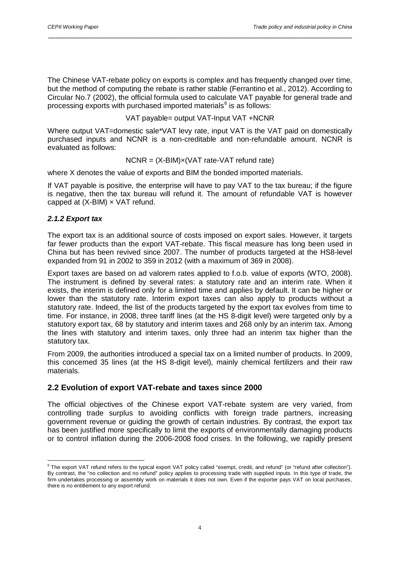The Chinese VAT-rebate policy on exports is complex and has frequently changed over time, but the method of computing the rebate is rather stable (Ferrantino et al., 2012). According to Circular No.7 (2002), the official formula used to calculate VAT payable for general trade and processing exports with purchased imported materials $6$  is as follows:

\_\_\_\_\_\_\_\_\_\_\_\_\_\_\_\_\_\_\_\_\_\_\_\_\_\_\_\_\_\_\_\_\_\_\_\_\_\_\_\_\_\_\_\_\_\_\_\_\_\_\_\_\_\_\_\_\_\_\_\_\_\_\_\_\_\_\_\_\_\_\_\_\_\_\_\_\_\_\_\_\_\_

VAT payable= output VAT-Input VAT +NCNR

Where output VAT=domestic sale\*VAT levy rate, input VAT is the VAT paid on domestically purchased inputs and NCNR is a non-creditable and non-refundable amount. NCNR is evaluated as follows:

$$
NCNR = (X-BIM)x(VAT rate-VAT refund rate)
$$

where X denotes the value of exports and BIM the bonded imported materials.

If VAT payable is positive, the enterprise will have to pay VAT to the tax bureau; if the figure is negative, then the tax bureau will refund it. The amount of refundable VAT is however capped at  $(X-BIM) \times VAT$  refund.

#### *2.1.2 Export tax*

The export tax is an additional source of costs imposed on export sales. However, it targets far fewer products than the export VAT-rebate. This fiscal measure has long been used in China but has been revived since 2007. The number of products targeted at the HS8-level expanded from 91 in 2002 to 359 in 2012 (with a maximum of 369 in 2008).

Export taxes are based on ad valorem rates applied to f.o.b. value of exports (WTO, 2008). The instrument is defined by several rates: a statutory rate and an interim rate. When it exists, the interim is defined only for a limited time and applies by default. It can be higher or lower than the statutory rate. Interim export taxes can also apply to products without a statutory rate. Indeed, the list of the products targeted by the export tax evolves from time to time. For instance, in 2008, three tariff lines (at the HS 8-digit level) were targeted only by a statutory export tax, 68 by statutory and interim taxes and 268 only by an interim tax. Among the lines with statutory and interim taxes, only three had an interim tax higher than the statutory tax.

From 2009, the authorities introduced a special tax on a limited number of products. In 2009, this concerned 35 lines (at the HS 8-digit level), mainly chemical fertilizers and their raw materials.

#### **2.2 Evolution of export VAT-rebate and taxes since 2000**

The official objectives of the Chinese export VAT-rebate system are very varied, from controlling trade surplus to avoiding conflicts with foreign trade partners, increasing government revenue or guiding the growth of certain industries. By contrast, the export tax has been justified more specifically to limit the exports of environmentally damaging products or to control inflation during the 2006-2008 food crises. In the following, we rapidly present

<span id="page-5-0"></span><sup>&</sup>lt;sup>6</sup> The export VAT refund refers to the typical export VAT policy called "exempt, credit, and refund" (or "refund after collection"). By contrast, the "no collection and no refund" policy applies to processing trade with supplied inputs. In this type of trade, the firm undertakes processing or assembly work on materials it does not own. Even if the exporter pays VAT on local purchases, there is no entitlement to any export refund.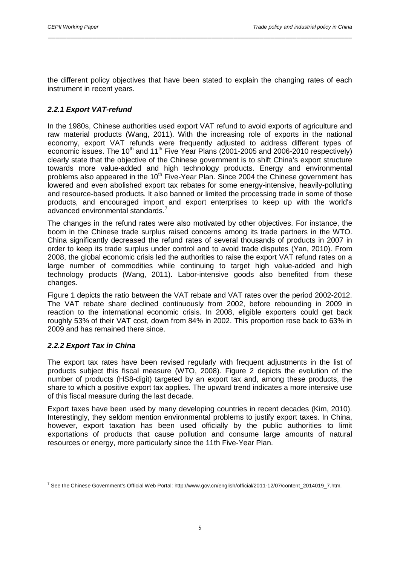the different policy objectives that have been stated to explain the changing rates of each instrument in recent years.

\_\_\_\_\_\_\_\_\_\_\_\_\_\_\_\_\_\_\_\_\_\_\_\_\_\_\_\_\_\_\_\_\_\_\_\_\_\_\_\_\_\_\_\_\_\_\_\_\_\_\_\_\_\_\_\_\_\_\_\_\_\_\_\_\_\_\_\_\_\_\_\_\_\_\_\_\_\_\_\_\_\_

#### *2.2.1 Export VAT-refund*

In the 1980s, Chinese authorities used export VAT refund to avoid exports of agriculture and raw material products (Wang, 2011). With the increasing role of exports in the national economy, export VAT refunds were frequently adjusted to address different types of economic issues. The 10<sup>th</sup> and 11<sup>th</sup> Five Year Plans (2001-2005 and 2006-2010 respectively) clearly state that the objective of the Chinese government is to shift China's export structure towards more value-added and high technology products. Energy and environmental problems also appeared in the 10<sup>th</sup> Five-Year Plan. Since 2004 the Chinese government has lowered and even abolished export tax rebates for some energy-intensive, heavily-polluting and resource-based products. It also banned or limited the processing trade in some of those products, and encouraged import and export enterprises to keep up with the world's advanced environmental standards.<sup>[7](#page-6-0)</sup>

The changes in the refund rates were also motivated by other objectives. For instance, the boom in the Chinese trade surplus raised concerns among its trade partners in the WTO. China significantly decreased the refund rates of several thousands of products in 2007 in order to keep its trade surplus under control and to avoid trade disputes (Yan, 2010). From 2008, the global economic crisis led the authorities to raise the export VAT refund rates on a large number of commodities while continuing to target high value-added and high technology products (Wang, 2011). Labor-intensive goods also benefited from these changes.

Figure 1 depicts the ratio between the VAT rebate and VAT rates over the period 2002-2012. The VAT rebate share declined continuously from 2002, before rebounding in 2009 in reaction to the international economic crisis. In 2008, eligible exporters could get back roughly 53% of their VAT cost, down from 84% in 2002. This proportion rose back to 63% in 2009 and has remained there since.

#### *2.2.2 Export Tax in China*

The export tax rates have been revised regularly with frequent adjustments in the list of products subject this fiscal measure (WTO, 2008). Figure 2 depicts the evolution of the number of products (HS8-digit) targeted by an export tax and, among these products, the share to which a positive export tax applies. The upward trend indicates a more intensive use of this fiscal measure during the last decade.

Export taxes have been used by many developing countries in recent decades (Kim, 2010). Interestingly, they seldom mention environmental problems to justify export taxes. In China, however, export taxation has been used officially by the public authorities to limit exportations of products that cause pollution and consume large amounts of natural resources or energy, more particularly since the 11th Five-Year Plan.

<span id="page-6-0"></span><sup>7</sup> See the Chinese Government's Official Web Portal: http://www.gov.cn/english/official/2011-12/07/content\_2014019\_7.htm.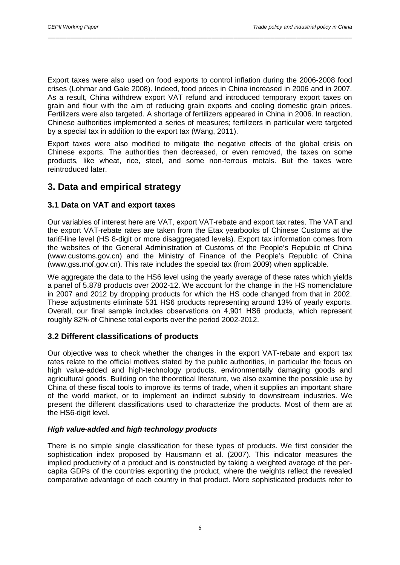Export taxes were also used on food exports to control inflation during the 2006-2008 food crises (Lohmar and Gale 2008). Indeed, food prices in China increased in 2006 and in 2007. As a result, China withdrew export VAT refund and introduced temporary export taxes on grain and flour with the aim of reducing grain exports and cooling domestic grain prices. Fertilizers were also targeted. A shortage of fertilizers appeared in China in 2006. In reaction, Chinese authorities implemented a series of measures; fertilizers in particular were targeted by a special tax in addition to the export tax (Wang, 2011).

\_\_\_\_\_\_\_\_\_\_\_\_\_\_\_\_\_\_\_\_\_\_\_\_\_\_\_\_\_\_\_\_\_\_\_\_\_\_\_\_\_\_\_\_\_\_\_\_\_\_\_\_\_\_\_\_\_\_\_\_\_\_\_\_\_\_\_\_\_\_\_\_\_\_\_\_\_\_\_\_\_\_

Export taxes were also modified to mitigate the negative effects of the global crisis on Chinese exports. The authorities then decreased, or even removed, the taxes on some products, like wheat, rice, steel, and some non-ferrous metals. But the taxes were reintroduced later.

# **3. Data and empirical strategy**

#### **3.1 Data on VAT and export taxes**

Our variables of interest here are VAT, export VAT-rebate and export tax rates. The VAT and the export VAT-rebate rates are taken from the Etax yearbooks of Chinese Customs at the tariff-line level (HS 8-digit or more disaggregated levels). Export tax information comes from the websites of the General Administration of Customs of the People's Republic of China (www.customs.gov.cn) and the Ministry of Finance of the People's Republic of China (www.gss.mof.gov.cn). This rate includes the special tax (from 2009) when applicable.

We aggregate the data to the HS6 level using the yearly average of these rates which yields a panel of 5,878 products over 2002-12. We account for the change in the HS nomenclature in 2007 and 2012 by dropping products for which the HS code changed from that in 2002. These adjustments eliminate 531 HS6 products representing around 13% of yearly exports. Overall, our final sample includes observations on 4,901 HS6 products, which represent roughly 82% of Chinese total exports over the period 2002-2012.

#### **3.2 Different classifications of products**

Our objective was to check whether the changes in the export VAT-rebate and export tax rates relate to the official motives stated by the public authorities, in particular the focus on high value-added and high-technology products, environmentally damaging goods and agricultural goods. Building on the theoretical literature, we also examine the possible use by China of these fiscal tools to improve its terms of trade, when it supplies an important share of the world market, or to implement an indirect subsidy to downstream industries. We present the different classifications used to characterize the products. Most of them are at the HS6-digit level.

#### *High value-added and high technology products*

There is no simple single classification for these types of products. We first consider the sophistication index proposed by Hausmann et al. (2007). This indicator measures the implied productivity of a product and is constructed by taking a weighted average of the percapita GDPs of the countries exporting the product, where the weights reflect the revealed comparative advantage of each country in that product. More sophisticated products refer to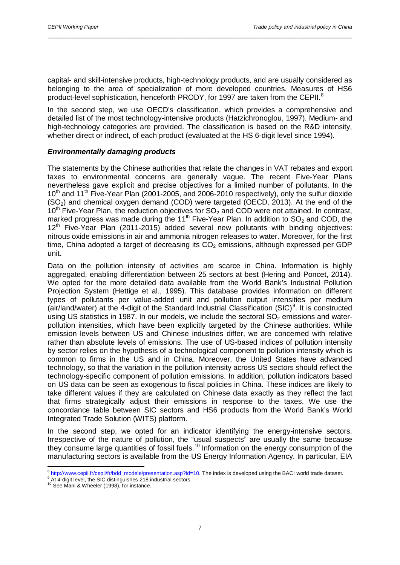capital- and skill-intensive products, high-technology products, and are usually considered as belonging to the area of specialization of more developed countries. Measures of HS6 product-level sophistication, henceforth PRODY, for 1997 are taken from the CEPII.<sup>[8](#page-8-0)</sup>

\_\_\_\_\_\_\_\_\_\_\_\_\_\_\_\_\_\_\_\_\_\_\_\_\_\_\_\_\_\_\_\_\_\_\_\_\_\_\_\_\_\_\_\_\_\_\_\_\_\_\_\_\_\_\_\_\_\_\_\_\_\_\_\_\_\_\_\_\_\_\_\_\_\_\_\_\_\_\_\_\_\_

In the second step, we use OECD's classification, which provides a comprehensive and detailed list of the most technology-intensive products (Hatzichronoglou, 1997). Medium- and high-technology categories are provided. The classification is based on the R&D intensity, whether direct or indirect, of each product (evaluated at the HS 6-digit level since 1994).

#### *Environmentally damaging products*

The statements by the Chinese authorities that relate the changes in VAT rebates and export taxes to environmental concerns are generally vague. The recent Five-Year Plans nevertheless gave explicit and precise objectives for a limited number of pollutants. In the  $10<sup>th</sup>$  and  $11<sup>th</sup>$  Five-Year Plan (2001-2005, and 2006-2010 respectively), only the sulfur dioxide  $(SO<sub>2</sub>)$  and chemical oxygen demand  $(COD)$  were targeted  $(OECD, 2013)$ . At the end of the  $10<sup>th</sup>$  Five-Year Plan, the reduction objectives for SO<sub>2</sub> and COD were not attained. In contrast, marked progress was made during the 11<sup>th</sup> Five-Year Plan. In addition to  $SO<sub>2</sub>$  and COD, the  $12<sup>th</sup>$  Five-Year Plan (2011-2015) added several new pollutants with binding objectives: nitrous oxide emissions in air and ammonia nitrogen releases to water. Moreover, for the first time, China adopted a target of decreasing its  $CO<sub>2</sub>$  emissions, although expressed per GDP unit.

Data on the pollution intensity of activities are scarce in China. Information is highly aggregated, enabling differentiation between 25 sectors at best (Hering and Poncet, 2014). We opted for the more detailed data available from the World Bank's Industrial Pollution Projection System (Hettige et al., 1995). This database provides information on different types of pollutants per value-added unit and pollution output intensities per medium (air/land/water) at the 4-digit of the Standard Industrial Classification (SIC)<sup>[9](#page-8-1)</sup>. It is constructed using US statistics in 1987. In our models, we include the sectoral  $SO<sub>2</sub>$  emissions and waterpollution intensities, which have been explicitly targeted by the Chinese authorities. While emission levels between US and Chinese industries differ, we are concerned with relative rather than absolute levels of emissions. The use of US-based indices of pollution intensity by sector relies on the hypothesis of a technological component to pollution intensity which is common to firms in the US and in China. Moreover, the United States have advanced technology, so that the variation in the pollution intensity across US sectors should reflect the technology-specific component of pollution emissions. In addition, pollution indicators based on US data can be seen as exogenous to fiscal policies in China. These indices are likely to take different values if they are calculated on Chinese data exactly as they reflect the fact that firms strategically adjust their emissions in response to the taxes. We use the concordance table between SIC sectors and HS6 products from the World Bank's World Integrated Trade Solution (WITS) platform.

In the second step, we opted for an indicator identifying the energy-intensive sectors. Irrespective of the nature of pollution, the "usual suspects" are usually the same because they consume large quantities of fossil fuels.<sup>[10](#page-8-2)</sup> Information on the energy consumption of the manufacturing sectors is available from the US Energy Information Agency. In particular, EIA

<span id="page-8-0"></span> $^8$  [http://www.cepii.fr/cepii/fr/bdd\\_modele/presentation.asp?id=10.](http://www.cepii.fr/cepii/fr/bdd_modele/presentation.asp?id=10) The index is developed using the BACI world trade dataset.<br>  $^9$  At 4-digit level, the SIC distinguishes 218 industrial sectors.<br>
<sup>10</sup> See Mani & Wheele

<span id="page-8-1"></span>

<span id="page-8-2"></span>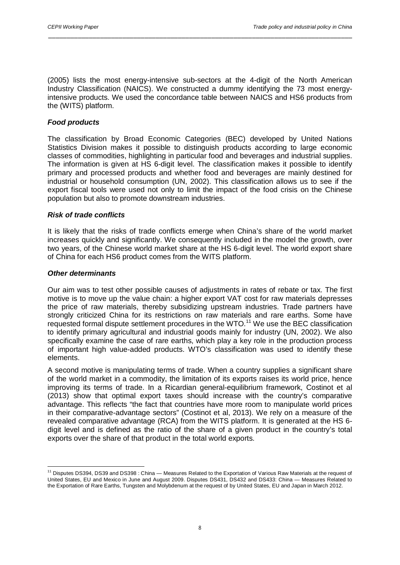(2005) lists the most energy-intensive sub-sectors at the 4-digit of the North American Industry Classification (NAICS). We constructed a dummy identifying the 73 most energyintensive products. We used the concordance table between NAICS and HS6 products from the (WITS) platform.

\_\_\_\_\_\_\_\_\_\_\_\_\_\_\_\_\_\_\_\_\_\_\_\_\_\_\_\_\_\_\_\_\_\_\_\_\_\_\_\_\_\_\_\_\_\_\_\_\_\_\_\_\_\_\_\_\_\_\_\_\_\_\_\_\_\_\_\_\_\_\_\_\_\_\_\_\_\_\_\_\_\_

#### *Food products*

The classification by Broad Economic Categories (BEC) developed by United Nations Statistics Division makes it possible to distinguish products according to large economic classes of commodities, highlighting in particular food and beverages and industrial supplies. The information is given at HS 6-digit level. The classification makes it possible to identify primary and processed products and whether food and beverages are mainly destined for industrial or household consumption (UN, 2002). This classification allows us to see if the export fiscal tools were used not only to limit the impact of the food crisis on the Chinese population but also to promote downstream industries.

#### *Risk of trade conflicts*

It is likely that the risks of trade conflicts emerge when China's share of the world market increases quickly and significantly. We consequently included in the model the growth, over two years, of the Chinese world market share at the HS 6-digit level. The world export share of China for each HS6 product comes from the WITS platform.

#### *Other determinants*

Our aim was to test other possible causes of adjustments in rates of rebate or tax. The first motive is to move up the value chain: a higher export VAT cost for raw materials depresses the price of raw materials, thereby subsidizing upstream industries. Trade partners have strongly criticized China for its restrictions on raw materials and rare earths. Some have requested formal dispute settlement procedures in the WTO.[11](#page-9-0) We use the BEC classification to identify primary agricultural and industrial goods mainly for industry (UN, 2002). We also specifically examine the case of rare earths, which play a key role in the production process of important high value-added products. WTO's classification was used to identify these elements.

A second motive is manipulating terms of trade. When a country supplies a significant share of the world market in a commodity, the limitation of its exports raises its world price, hence improving its terms of trade. In a Ricardian general-equilibrium framework, Costinot et al (2013) show that optimal export taxes should increase with the country's comparative advantage. This reflects "the fact that countries have more room to manipulate world prices in their comparative-advantage sectors" (Costinot et al, 2013). We rely on a measure of the revealed comparative advantage (RCA) from the WITS platform. It is generated at the HS 6 digit level and is defined as the ratio of the share of a given product in the country's total exports over the share of that product in the total world exports.

<span id="page-9-0"></span><sup>&</sup>lt;sup>11</sup> Disputes DS394, DS39 and DS398 : China — Measures Related to the Exportation of Various Raw Materials at the request of United States, EU and Mexico in June and August 2009. Disputes DS431, DS432 and DS433: China — Measures Related to the Exportation of Rare Earths, Tungsten and Molybdenum at the request of by United States, EU and Japan in March 2012.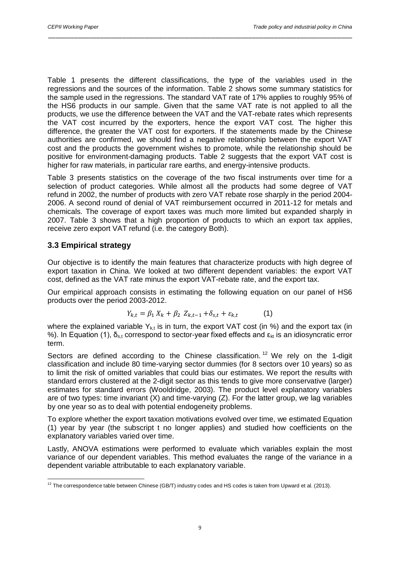Table 1 presents the different classifications, the type of the variables used in the regressions and the sources of the information. Table 2 shows some summary statistics for the sample used in the regressions. The standard VAT rate of 17% applies to roughly 95% of the HS6 products in our sample. Given that the same VAT rate is not applied to all the products, we use the difference between the VAT and the VAT-rebate rates which represents the VAT cost incurred by the exporters, hence the export VAT cost. The higher this difference, the greater the VAT cost for exporters. If the statements made by the Chinese authorities are confirmed, we should find a negative relationship between the export VAT cost and the products the government wishes to promote, while the relationship should be positive for environment-damaging products. Table 2 suggests that the export VAT cost is higher for raw materials, in particular rare earths, and energy-intensive products.

\_\_\_\_\_\_\_\_\_\_\_\_\_\_\_\_\_\_\_\_\_\_\_\_\_\_\_\_\_\_\_\_\_\_\_\_\_\_\_\_\_\_\_\_\_\_\_\_\_\_\_\_\_\_\_\_\_\_\_\_\_\_\_\_\_\_\_\_\_\_\_\_\_\_\_\_\_\_\_\_\_\_

Table 3 presents statistics on the coverage of the two fiscal instruments over time for a selection of product categories. While almost all the products had some degree of VAT refund in 2002, the number of products with zero VAT rebate rose sharply in the period 2004- 2006. A second round of denial of VAT reimbursement occurred in 2011-12 for metals and chemicals. The coverage of export taxes was much more limited but expanded sharply in 2007. Table 3 shows that a high proportion of products to which an export tax applies, receive zero export VAT refund (i.e. the category Both).

#### **3.3 Empirical strategy**

Our objective is to identify the main features that characterize products with high degree of export taxation in China. We looked at two different dependent variables: the export VAT cost, defined as the VAT rate minus the export VAT-rebate rate, and the export tax.

Our empirical approach consists in estimating the following equation on our panel of HS6 products over the period 2003-2012.

$$
Y_{k,t} = \beta_1 X_k + \beta_2 Z_{k,t-1} + \delta_{s,t} + \varepsilon_{k,t}
$$
 (1)

where the explained variable  $Y_{kt}$  is in turn, the export VAT cost (in %) and the export tax (in %). In Equation (1),  $\delta_{s,t}$  correspond to sector-year fixed effects and  $\epsilon_{kt}$  is an idiosyncratic error term.

Sectors are defined according to the Chinese classification.<sup>[12](#page-10-0)</sup> We rely on the 1-digit classification and include 80 time-varying sector dummies (for 8 sectors over 10 years) so as to limit the risk of omitted variables that could bias our estimates. We report the results with standard errors clustered at the 2-digit sector as this tends to give more conservative (larger) estimates for standard errors (Wooldridge, 2003). The product level explanatory variables are of two types: time invariant  $(X)$  and time-varying  $(Z)$ . For the latter group, we lag variables by one year so as to deal with potential endogeneity problems.

To explore whether the export taxation motivations evolved over time, we estimated Equation (1) year by year (the subscript t no longer applies) and studied how coefficients on the explanatory variables varied over time.

Lastly, ANOVA estimations were performed to evaluate which variables explain the most variance of our dependent variables. This method evaluates the range of the variance in a dependent variable attributable to each explanatory variable.

<span id="page-10-0"></span> $12$  The correspondence table between Chinese (GB/T) industry codes and HS codes is taken from Upward et al. (2013).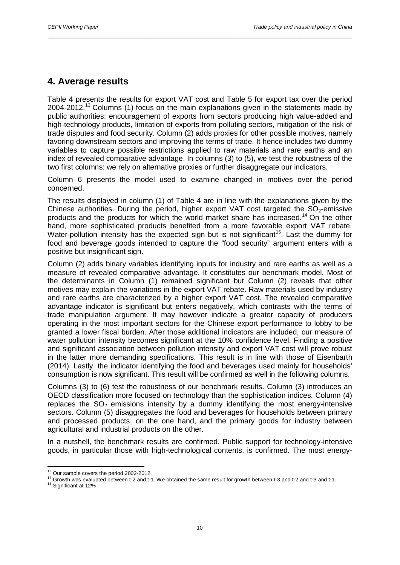# **4. Average results**

Table 4 presents the results for export VAT cost and Table 5 for export tax over the period 2004-2012.<sup>[13](#page-11-0)</sup> Columns (1) focus on the main explanations given in the statements made by public authorities: encouragement of exports from sectors producing high value-added and high-technology products, limitation of exports from polluting sectors, mitigation of the risk of trade disputes and food security. Column (2) adds proxies for other possible motives, namely favoring downstream sectors and improving the terms of trade. It hence includes two dummy variables to capture possible restrictions applied to raw materials and rare earths and an index of revealed comparative advantage. In columns (3) to (5), we test the robustness of the two first columns: we rely on alternative proxies or further disaggregate our indicators.

\_\_\_\_\_\_\_\_\_\_\_\_\_\_\_\_\_\_\_\_\_\_\_\_\_\_\_\_\_\_\_\_\_\_\_\_\_\_\_\_\_\_\_\_\_\_\_\_\_\_\_\_\_\_\_\_\_\_\_\_\_\_\_\_\_\_\_\_\_\_\_\_\_\_\_\_\_\_\_\_\_\_

Column 6 presents the model used to examine changed in motives over the period concerned.

The results displayed in column (1) of Table 4 are in line with the explanations given by the Chinese authorities. During the period, higher export VAT cost targeted the  $SO<sub>2</sub>$ -emissive products and the products for which the world market share has increased.[14](#page-11-1) On the other hand, more sophisticated products benefited from a more favorable export VAT rebate. Water-pollution intensity has the expected sign but is not significant<sup>[15](#page-11-2)</sup>. Last the dummy for food and beverage goods intended to capture the "food security" argument enters with a positive but insignificant sign.

Column (2) adds binary variables identifying inputs for industry and rare earths as well as a measure of revealed comparative advantage. It constitutes our benchmark model. Most of the determinants in Column (1) remained significant but Column (2) reveals that other motives may explain the variations in the export VAT rebate. Raw materials used by industry and rare earths are characterized by a higher export VAT cost. The revealed comparative advantage indicator is significant but enters negatively, which contrasts with the terms of trade manipulation argument. It may however indicate a greater capacity of producers operating in the most important sectors for the Chinese export performance to lobby to be granted a lower fiscal burden. After those additional indicators are included, our measure of water pollution intensity becomes significant at the 10% confidence level. Finding a positive and significant association between pollution intensity and export VAT cost will prove robust in the latter more demanding specifications. This result is in line with those of Eisenbarth (2014). Lastly, the indicator identifying the food and beverages used mainly for households' consumption is now significant. This result will be confirmed as well in the following columns.

Columns (3) to (6) test the robustness of our benchmark results. Column (3) introduces an OECD classification more focused on technology than the sophistication indices. Column (4) replaces the  $SO<sub>2</sub>$  emissions intensity by a dummy identifying the most energy-intensive sectors. Column (5) disaggregates the food and beverages for households between primary and processed products, on the one hand, and the primary goods for industry between agricultural and industrial products on the other.

In a nutshell, the benchmark results are confirmed. Public support for technology-intensive goods, in particular those with high-technological contents, is confirmed. The most energy-

<span id="page-11-1"></span><span id="page-11-0"></span><sup>&</sup>lt;sup>13</sup> Our sample covers the period 2002-2012.<br><sup>14</sup> Growth was evaluated between t-2 and t-1. We obtained the same result for growth between t-3 and t-2 and t-3 and t-1.<br><sup>15</sup> Significant at 12%

<span id="page-11-2"></span>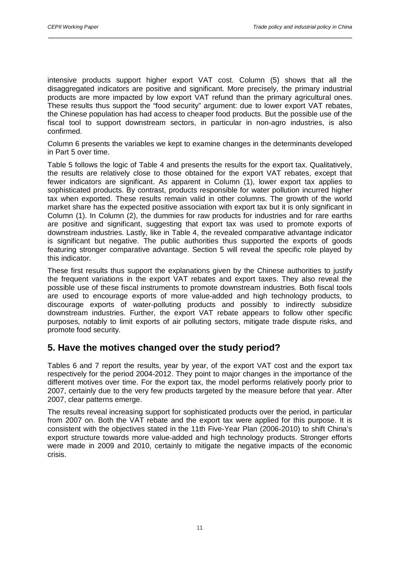intensive products support higher export VAT cost. Column (5) shows that all the disaggregated indicators are positive and significant. More precisely, the primary industrial products are more impacted by low export VAT refund than the primary agricultural ones. These results thus support the "food security" argument: due to lower export VAT rebates, the Chinese population has had access to cheaper food products. But the possible use of the fiscal tool to support downstream sectors, in particular in non-agro industries, is also confirmed.

\_\_\_\_\_\_\_\_\_\_\_\_\_\_\_\_\_\_\_\_\_\_\_\_\_\_\_\_\_\_\_\_\_\_\_\_\_\_\_\_\_\_\_\_\_\_\_\_\_\_\_\_\_\_\_\_\_\_\_\_\_\_\_\_\_\_\_\_\_\_\_\_\_\_\_\_\_\_\_\_\_\_

Column 6 presents the variables we kept to examine changes in the determinants developed in Part 5 over time.

Table 5 follows the logic of Table 4 and presents the results for the export tax. Qualitatively, the results are relatively close to those obtained for the export VAT rebates, except that fewer indicators are significant. As apparent in Column (1), lower export tax applies to sophisticated products. By contrast, products responsible for water pollution incurred higher tax when exported. These results remain valid in other columns. The growth of the world market share has the expected positive association with export tax but it is only significant in Column (1). In Column (2), the dummies for raw products for industries and for rare earths are positive and significant, suggesting that export tax was used to promote exports of downstream industries. Lastly, like in Table 4, the revealed comparative advantage indicator is significant but negative. The public authorities thus supported the exports of goods featuring stronger comparative advantage. Section 5 will reveal the specific role played by this indicator.

These first results thus support the explanations given by the Chinese authorities to justify the frequent variations in the export VAT rebates and export taxes. They also reveal the possible use of these fiscal instruments to promote downstream industries. Both fiscal tools are used to encourage exports of more value-added and high technology products, to discourage exports of water-polluting products and possibly to indirectly subsidize downstream industries. Further, the export VAT rebate appears to follow other specific purposes, notably to limit exports of air polluting sectors, mitigate trade dispute risks, and promote food security.

# **5. Have the motives changed over the study period?**

Tables 6 and 7 report the results, year by year, of the export VAT cost and the export tax respectively for the period 2004-2012. They point to major changes in the importance of the different motives over time. For the export tax, the model performs relatively poorly prior to 2007, certainly due to the very few products targeted by the measure before that year. After 2007, clear patterns emerge.

The results reveal increasing support for sophisticated products over the period, in particular from 2007 on. Both the VAT rebate and the export tax were applied for this purpose. It is consistent with the objectives stated in the 11th Five-Year Plan (2006-2010) to shift China's export structure towards more value-added and high technology products. Stronger efforts were made in 2009 and 2010, certainly to mitigate the negative impacts of the economic crisis.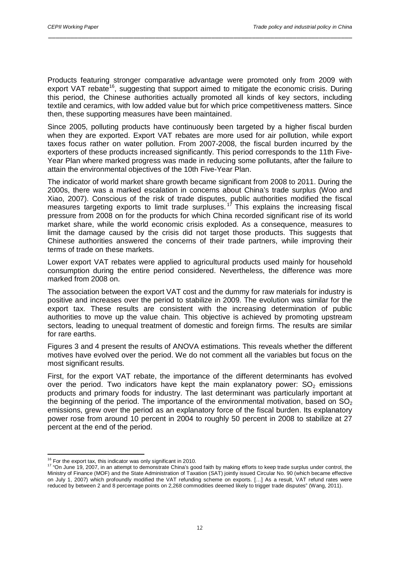Products featuring stronger comparative advantage were promoted only from 2009 with export VAT rebate<sup>[16](#page-13-0)</sup>, suggesting that support aimed to mitigate the economic crisis. During this period, the Chinese authorities actually promoted all kinds of key sectors, including textile and ceramics, with low added value but for which price competitiveness matters. Since then, these supporting measures have been maintained.

\_\_\_\_\_\_\_\_\_\_\_\_\_\_\_\_\_\_\_\_\_\_\_\_\_\_\_\_\_\_\_\_\_\_\_\_\_\_\_\_\_\_\_\_\_\_\_\_\_\_\_\_\_\_\_\_\_\_\_\_\_\_\_\_\_\_\_\_\_\_\_\_\_\_\_\_\_\_\_\_\_\_

Since 2005, polluting products have continuously been targeted by a higher fiscal burden when they are exported. Export VAT rebates are more used for air pollution, while export taxes focus rather on water pollution. From 2007-2008, the fiscal burden incurred by the exporters of these products increased significantly. This period corresponds to the 11th Five-Year Plan where marked progress was made in reducing some pollutants, after the failure to attain the environmental objectives of the 10th Five-Year Plan.

The indicator of world market share growth became significant from 2008 to 2011. During the 2000s, there was a marked escalation in concerns about China's trade surplus (Woo and Xiao, 2007). Conscious of the risk of trade disputes, public authorities modified the fiscal measures targeting exports to limit trade surpluses.<sup>[17](#page-13-1)</sup> This explains the increasing fiscal pressure from 2008 on for the products for which China recorded significant rise of its world market share, while the world economic crisis exploded. As a consequence, measures to limit the damage caused by the crisis did not target those products. This suggests that Chinese authorities answered the concerns of their trade partners, while improving their terms of trade on these markets.

Lower export VAT rebates were applied to agricultural products used mainly for household consumption during the entire period considered. Nevertheless, the difference was more marked from 2008 on.

The association between the export VAT cost and the dummy for raw materials for industry is positive and increases over the period to stabilize in 2009. The evolution was similar for the export tax. These results are consistent with the increasing determination of public authorities to move up the value chain. This objective is achieved by promoting upstream sectors, leading to unequal treatment of domestic and foreign firms. The results are similar for rare earths.

Figures 3 and 4 present the results of ANOVA estimations. This reveals whether the different motives have evolved over the period. We do not comment all the variables but focus on the most significant results.

First, for the export VAT rebate, the importance of the different determinants has evolved over the period. Two indicators have kept the main explanatory power:  $SO<sub>2</sub>$  emissions products and primary foods for industry. The last determinant was particularly important at the beginning of the period. The importance of the environmental motivation, based on  $SO<sub>2</sub>$ emissions, grew over the period as an explanatory force of the fiscal burden. Its explanatory power rose from around 10 percent in 2004 to roughly 50 percent in 2008 to stabilize at 27 percent at the end of the period.

<span id="page-13-1"></span><span id="page-13-0"></span><sup>&</sup>lt;sup>16</sup> For the export tax, this indicator was only significant in 2010.<br><sup>17</sup> "On June 19, 2007, in an attempt to demonstrate China's good faith by making efforts to keep trade surplus under control, the Ministry of Finance (MOF) and the State Administration of Taxation (SAT) jointly issued Circular No. 90 (which became effective on July 1, 2007) which profoundly modified the VAT refunding scheme on exports. […] As a result, VAT refund rates were reduced by between 2 and 8 percentage points on 2,268 commodities deemed likely to trigger trade disputes" (Wang, 2011).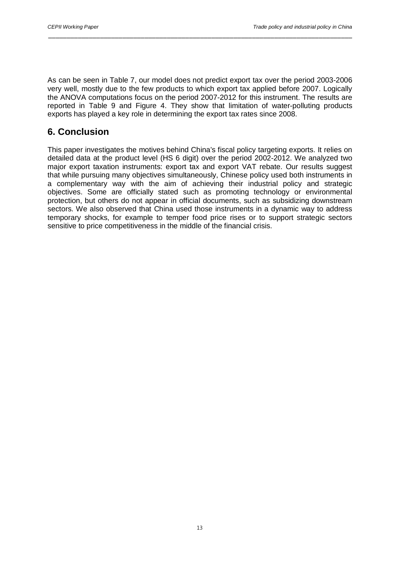As can be seen in Table 7, our model does not predict export tax over the period 2003-2006 very well, mostly due to the few products to which export tax applied before 2007. Logically the ANOVA computations focus on the period 2007-2012 for this instrument. The results are reported in Table 9 and Figure 4. They show that limitation of water-polluting products exports has played a key role in determining the export tax rates since 2008.

\_\_\_\_\_\_\_\_\_\_\_\_\_\_\_\_\_\_\_\_\_\_\_\_\_\_\_\_\_\_\_\_\_\_\_\_\_\_\_\_\_\_\_\_\_\_\_\_\_\_\_\_\_\_\_\_\_\_\_\_\_\_\_\_\_\_\_\_\_\_\_\_\_\_\_\_\_\_\_\_\_\_

# **6. Conclusion**

This paper investigates the motives behind China's fiscal policy targeting exports. It relies on detailed data at the product level (HS 6 digit) over the period 2002-2012. We analyzed two major export taxation instruments: export tax and export VAT rebate. Our results suggest that while pursuing many objectives simultaneously, Chinese policy used both instruments in a complementary way with the aim of achieving their industrial policy and strategic objectives. Some are officially stated such as promoting technology or environmental protection, but others do not appear in official documents, such as subsidizing downstream sectors. We also observed that China used those instruments in a dynamic way to address temporary shocks, for example to temper food price rises or to support strategic sectors sensitive to price competitiveness in the middle of the financial crisis.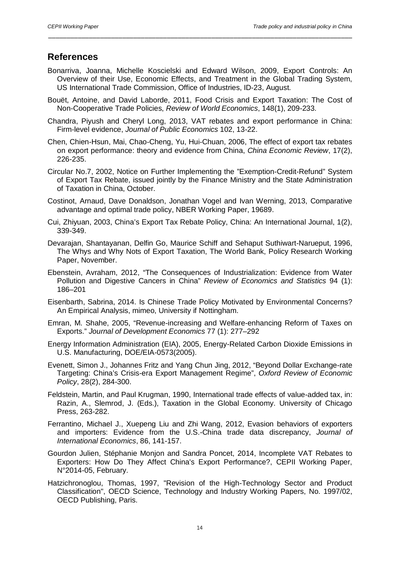#### **References**

Bonarriva, Joanna, Michelle Koscielski and Edward Wilson, 2009, Export Controls: An Overview of their Use, Economic Effects, and Treatment in the Global Trading System, US International Trade Commission, Office of Industries, ID-23, August.

\_\_\_\_\_\_\_\_\_\_\_\_\_\_\_\_\_\_\_\_\_\_\_\_\_\_\_\_\_\_\_\_\_\_\_\_\_\_\_\_\_\_\_\_\_\_\_\_\_\_\_\_\_\_\_\_\_\_\_\_\_\_\_\_\_\_\_\_\_\_\_\_\_\_\_\_\_\_\_\_\_\_

- Bouët, Antoine, and David Laborde, 2011, Food Crisis and Export Taxation: The Cost of Non-Cooperative Trade Policies, *Review of World Economics*, 148(1), 209-233.
- Chandra, Piyush and Cheryl Long, 2013, VAT rebates and export performance in China: Firm-level evidence, *Journal of Public Economics* 102, 13-22.
- Chen, Chien-Hsun, Mai, Chao-Cheng, Yu, Hui-Chuan, 2006, The effect of export tax rebates on export performance: theory and evidence from China, *China Economic Review*, 17(2), 226-235.
- Circular No.7, 2002, Notice on Further Implementing the "Exemption-Credit-Refund" System of Export Tax Rebate, issued jointly by the Finance Ministry and the State Administration of Taxation in China, October.
- Costinot, Arnaud, Dave Donaldson, Jonathan Vogel and Ivan Werning, 2013, Comparative advantage and optimal trade policy, NBER Working Paper, 19689.
- Cui, Zhiyuan, 2003, China's Export Tax Rebate Policy, China: An International Journal, 1(2), 339-349.
- Devarajan, Shantayanan, Delfin Go, Maurice Schiff and Sehaput Suthiwart-Narueput, 1996, The Whys and Why Nots of Export Taxation, The World Bank, Policy Research Working Paper, November.
- Ebenstein, Avraham, 2012, "The Consequences of Industrialization: Evidence from Water Pollution and Digestive Cancers in China" *Review of Economics and Statistics* 94 (1): 186–201
- Eisenbarth, Sabrina, 2014. Is Chinese Trade Policy Motivated by Environmental Concerns? An Empirical Analysis, mimeo, University if Nottingham.
- Emran, M. Shahe, 2005, "Revenue-increasing and Welfare-enhancing Reform of Taxes on Exports." *Journal of Development Economics* 77 (1): 277–292
- Energy Information Administration (EIA), 2005, Energy-Related Carbon Dioxide Emissions in U.S. Manufacturing, DOE/EIA-0573(2005).
- Evenett, Simon J., Johannes Fritz and Yang Chun Jing, 2012, "Beyond Dollar Exchange-rate Targeting: China's Crisis-era Export Management Regime", *Oxford Review of Economic Policy*, 28(2), 284-300.
- Feldstein, Martin, and Paul Krugman, 1990, International trade effects of value-added tax, in: Razin, A., Slemrod, J. (Eds.), Taxation in the Global Economy. University of Chicago Press, 263-282.
- Ferrantino, Michael J., Xuepeng Liu and Zhi Wang, 2012, Evasion behaviors of exporters and importers: Evidence from the U.S.-China trade data discrepancy, *Journal of International Economics*, 86, 141-157.
- Gourdon Julien, Stéphanie Monjon and Sandra Poncet, 2014, Incomplete VAT Rebates to Exporters: How Do They Affect China's Export Performance?, CEPII Working Paper, N°2014-05, February.
- Hatzichronoglou, Thomas, 1997, "Revision of the High-Technology Sector and Product Classification", OECD Science, Technology and Industry Working Papers, No. 1997/02, OECD Publishing, Paris.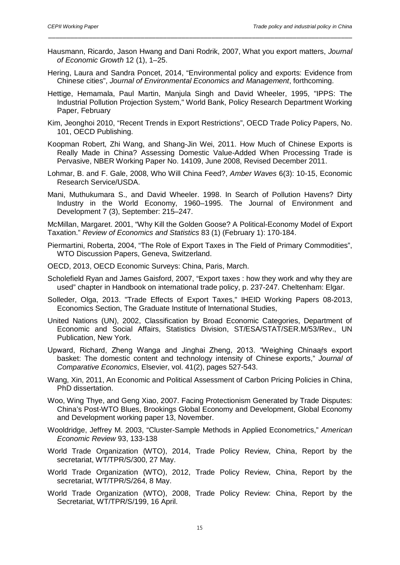Hausmann, Ricardo, Jason Hwang and Dani Rodrik, 2007, What you export matters, *Journal of Economic Growth* 12 (1), 1–25.

\_\_\_\_\_\_\_\_\_\_\_\_\_\_\_\_\_\_\_\_\_\_\_\_\_\_\_\_\_\_\_\_\_\_\_\_\_\_\_\_\_\_\_\_\_\_\_\_\_\_\_\_\_\_\_\_\_\_\_\_\_\_\_\_\_\_\_\_\_\_\_\_\_\_\_\_\_\_\_\_\_\_

- Hering, Laura and Sandra Poncet, 2014, "Environmental policy and exports: Evidence from Chinese cities", *Journal of Environmental Economics and Management*, forthcoming.
- Hettige, Hemamala, Paul Martin, Manjula Singh and David Wheeler, 1995, "IPPS: The Industrial Pollution Projection System," World Bank, Policy Research Department Working Paper, February
- Kim, Jeonghoi 2010, "Recent Trends in Export Restrictions", OECD Trade Policy Papers, No. 101, OECD Publishing.
- Koopman Robert, Zhi Wang, and Shang-Jin Wei, 2011. How Much of Chinese Exports is Really Made in China? Assessing Domestic Value-Added When Processing Trade is Pervasive, NBER Working Paper No. 14109, June 2008, Revised December 2011.
- Lohmar, B. and F. Gale, 2008, Who Will China Feed?, *Amber Waves* 6(3): 10-15, Economic Research Service/USDA.
- Mani, Muthukumara S., and David Wheeler. 1998. In Search of Pollution Havens? Dirty Industry in the World Economy, 1960–1995. The Journal of Environment and Development 7 (3), September: 215–247.

McMillan, Margaret. 2001, "Why Kill the Golden Goose? A Political-Economy Model of Export Taxation." *Review of Economics and Statistics* 83 (1) (February 1): 170-184.

- Piermartini, Roberta, 2004, "The Role of Export Taxes in The Field of Primary Commodities", WTO Discussion Papers, Geneva, Switzerland.
- OECD, 2013, OECD Economic Surveys: China, Paris, March.
- Scholefield Ryan and James Gaisford, 2007, "Export taxes : how they work and why they are used" chapter in Handbook on international trade policy, p. 237-247. Cheltenham: Elgar.
- Solleder, Olga, 2013. "Trade Effects of Export Taxes," IHEID Working Papers 08-2013, Economics Section, The Graduate Institute of International Studies,
- United Nations (UN), 2002, Classification by Broad Economic Categories, Department of Economic and Social Affairs, Statistics Division, ST/ESA/STAT/SER.M/53/Rev., UN Publication, New York.
- Upward, Richard, Zheng Wanga and Jinghai Zheng, 2013. "Weighing Chinaars export basket: The domestic content and technology intensity of Chinese exports," *Journal of Comparative Economics*, Elsevier, vol. 41(2), pages 527-543.
- Wang, Xin, 2011, An Economic and Political Assessment of Carbon Pricing Policies in China, PhD dissertation.
- Woo, Wing Thye, and Geng Xiao, 2007. Facing Protectionism Generated by Trade Disputes: China's Post-WTO Blues, Brookings Global Economy and Development, Global Economy and Development working paper 13, November.
- Wooldridge, Jeffrey M. 2003, "Cluster-Sample Methods in Applied Econometrics," *American Economic Review* 93, 133-138
- World Trade Organization (WTO), 2014, Trade Policy Review, China, Report by the secretariat, WT/TPR/S/300, 27 May.
- World Trade Organization (WTO), 2012, Trade Policy Review, China, Report by the secretariat, WT/TPR/S/264, 8 May.
- World Trade Organization (WTO), 2008, Trade Policy Review: China, Report by the Secretariat, WT/TPR/S/199, 16 April.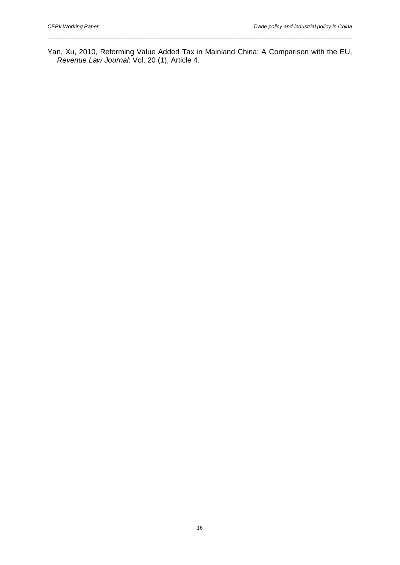Yan, Xu, 2010, Reforming Value Added Tax in Mainland China: A Comparison with the EU, *Revenue Law Journal*: Vol. 20 (1), Article 4.

\_\_\_\_\_\_\_\_\_\_\_\_\_\_\_\_\_\_\_\_\_\_\_\_\_\_\_\_\_\_\_\_\_\_\_\_\_\_\_\_\_\_\_\_\_\_\_\_\_\_\_\_\_\_\_\_\_\_\_\_\_\_\_\_\_\_\_\_\_\_\_\_\_\_\_\_\_\_\_\_\_\_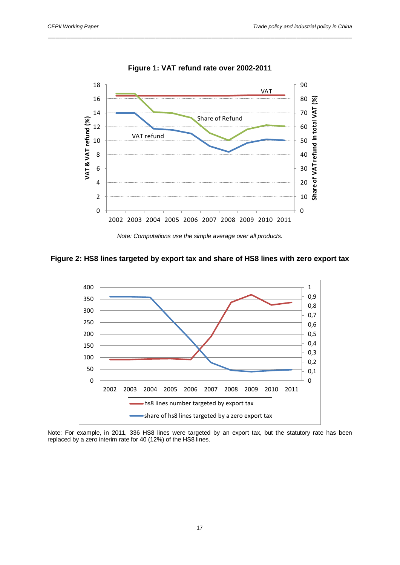

**Figure 1: VAT refund rate over 2002-2011**

\_\_\_\_\_\_\_\_\_\_\_\_\_\_\_\_\_\_\_\_\_\_\_\_\_\_\_\_\_\_\_\_\_\_\_\_\_\_\_\_\_\_\_\_\_\_\_\_\_\_\_\_\_\_\_\_\_\_\_\_\_\_\_\_\_\_\_\_\_\_\_\_\_\_\_\_\_\_\_\_\_\_

#### **Figure 2: HS8 lines targeted by export tax and share of HS8 lines with zero export tax**



Note: For example, in 2011, 336 HS8 lines were targeted by an export tax, but the statutory rate has been replaced by a zero interim rate for 40 (12%) of the HS8 lines.

*Note: Computations use the simple average over all products.*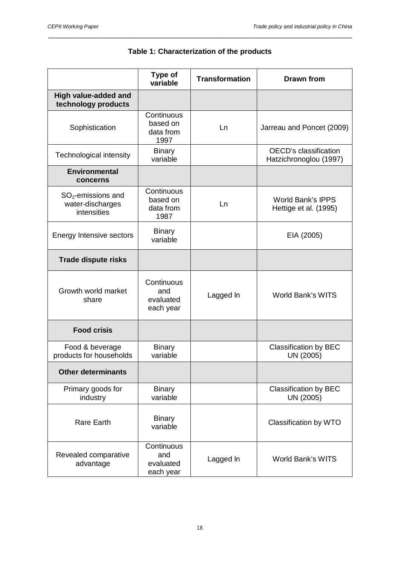|                                                         | Type of<br>variable                         | <b>Transformation</b> | <b>Drawn from</b>                                      |
|---------------------------------------------------------|---------------------------------------------|-----------------------|--------------------------------------------------------|
| High value-added and<br>technology products             |                                             |                       |                                                        |
| Sophistication                                          | Continuous<br>based on<br>data from<br>1997 | Ln                    | Jarreau and Poncet (2009)                              |
| Technological intensity                                 | <b>Binary</b><br>variable                   |                       | <b>OECD's classification</b><br>Hatzichronoglou (1997) |
| <b>Environmental</b><br>concerns                        |                                             |                       |                                                        |
| $SO2$ -emissions and<br>water-discharges<br>intensities | Continuous<br>based on<br>data from<br>1987 | Ln                    | <b>World Bank's IPPS</b><br>Hettige et al. (1995)      |
| Energy Intensive sectors                                | <b>Binary</b><br>variable                   |                       | EIA (2005)                                             |
| <b>Trade dispute risks</b>                              |                                             |                       |                                                        |
| Growth world market<br>share                            | Continuous<br>and<br>evaluated<br>each year | Lagged In             | <b>World Bank's WITS</b>                               |
| <b>Food crisis</b>                                      |                                             |                       |                                                        |
| Food & beverage<br>products for households              | <b>Binary</b><br>variable                   |                       | Classification by BEC<br>UN (2005)                     |
| <b>Other determinants</b>                               |                                             |                       |                                                        |
| Primary goods for<br>industry                           | <b>Binary</b><br>variable                   |                       | <b>Classification by BEC</b><br>UN (2005)              |
| <b>Rare Earth</b>                                       | <b>Binary</b><br>variable                   |                       | Classification by WTO                                  |
| Revealed comparative<br>advantage                       | Continuous<br>and<br>evaluated<br>each year | Lagged In             | <b>World Bank's WITS</b>                               |

# **Table 1: Characterization of the products**

\_\_\_\_\_\_\_\_\_\_\_\_\_\_\_\_\_\_\_\_\_\_\_\_\_\_\_\_\_\_\_\_\_\_\_\_\_\_\_\_\_\_\_\_\_\_\_\_\_\_\_\_\_\_\_\_\_\_\_\_\_\_\_\_\_\_\_\_\_\_\_\_\_\_\_\_\_\_\_\_\_\_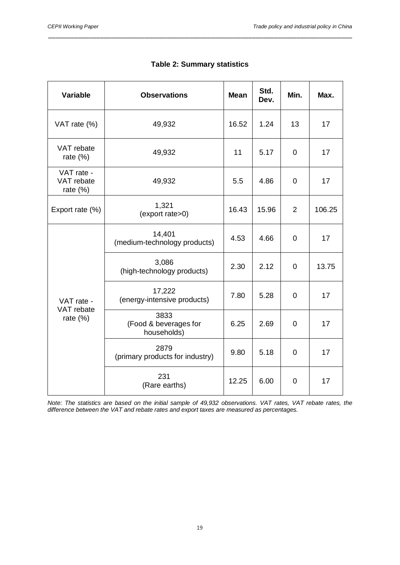| <b>Variable</b>                      | <b>Observations</b>                          | <b>Mean</b> | Std.<br>Dev. | Min.           | Max.   |
|--------------------------------------|----------------------------------------------|-------------|--------------|----------------|--------|
| VAT rate (%)                         | 49,932                                       | 16.52       | 1.24         | 13             | 17     |
| VAT rebate<br>rate $(\%)$            | 49,932                                       | 11          | 5.17         | $\overline{0}$ | 17     |
| VAT rate -<br>VAT rebate<br>rate (%) | 49,932                                       | 5.5         | 4.86         | $\mathbf 0$    | 17     |
| Export rate (%)                      | 1,321<br>(export rate>0)                     | 16.43       | 15.96        | $\overline{2}$ | 106.25 |
|                                      | 14,401<br>(medium-technology products)       | 4.53        | 4.66         | $\overline{0}$ | 17     |
|                                      | 3,086<br>(high-technology products)          | 2.30        | 2.12         | $\overline{0}$ | 13.75  |
| VAT rate -                           | 17,222<br>(energy-intensive products)        | 7.80        | 5.28         | 0              | 17     |
| VAT rebate<br>rate $(\%)$            | 3833<br>(Food & beverages for<br>households) | 6.25        | 2.69         | $\overline{0}$ | 17     |
|                                      | 2879<br>(primary products for industry)      | 9.80        | 5.18         | $\overline{0}$ | 17     |
|                                      | 231<br>(Rare earths)                         | 12.25       | 6.00         | $\overline{0}$ | 17     |

| <b>Table 2: Summary statistics</b> |  |
|------------------------------------|--|
|------------------------------------|--|

\_\_\_\_\_\_\_\_\_\_\_\_\_\_\_\_\_\_\_\_\_\_\_\_\_\_\_\_\_\_\_\_\_\_\_\_\_\_\_\_\_\_\_\_\_\_\_\_\_\_\_\_\_\_\_\_\_\_\_\_\_\_\_\_\_\_\_\_\_\_\_\_\_\_\_\_\_\_\_\_\_\_

*Note: The statistics are based on the initial sample of 49,932 observations. VAT rates, VAT rebate rates, the difference between the VAT and rebate rates and export taxes are measured as percentages.*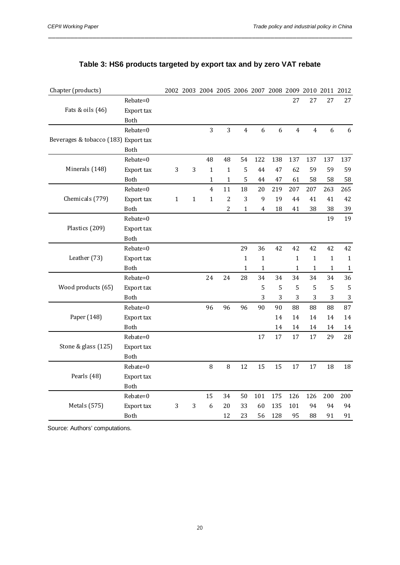|                                      | Rebate=0   |              |              |                |                |                |              |     | 27             | 27             | 27           | 27           |
|--------------------------------------|------------|--------------|--------------|----------------|----------------|----------------|--------------|-----|----------------|----------------|--------------|--------------|
| Fats & oils (46)                     | Export tax |              |              |                |                |                |              |     |                |                |              |              |
|                                      | Both       |              |              |                |                |                |              |     |                |                |              |              |
|                                      | Rebate=0   |              |              | 3              | 3              | $\overline{4}$ | 6            | 6   | $\overline{4}$ | $\overline{4}$ | 6            | 6            |
| Beverages & tobacco (183) Export tax |            |              |              |                |                |                |              |     |                |                |              |              |
|                                      | Both       |              |              |                |                |                |              |     |                |                |              |              |
|                                      | Rebate=0   |              |              | 48             | 48             | 54             | 122          | 138 | 137            | 137            | 137          | 137          |
| Minerals (148)                       | Export tax | 3            | 3            | $\mathbf{1}$   | $\mathbf{1}$   | 5              | 44           | 47  | 62             | 59             | 59           | 59           |
|                                      | Both       |              |              | 1              | $\mathbf{1}$   | 5              | 44           | 47  | 61             | 58             | 58           | 58           |
|                                      | Rebate=0   |              |              | $\overline{4}$ | 11             | 18             | 20           | 219 | 207            | 207            | 263          | 265          |
| Chemicals (779)                      | Export tax | $\mathbf{1}$ | $\mathbf{1}$ | $\mathbf 1$    | $\overline{c}$ | 3              | 9            | 19  | 44             | 41             | 41           | 42           |
|                                      | Both       |              |              |                | $\overline{c}$ | $\mathbf{1}$   | 4            | 18  | 41             | 38             | 38           | 39           |
|                                      | Rebate=0   |              |              |                |                |                |              |     |                |                | 19           | 19           |
| Plastics (209)                       | Export tax |              |              |                |                |                |              |     |                |                |              |              |
|                                      | Both       |              |              |                |                |                |              |     |                |                |              |              |
|                                      | Rebate=0   |              |              |                |                | 29             | 36           | 42  | 42             | 42             | 42           | 42           |
| Leather (73)                         | Export tax |              |              |                |                | $\mathbf{1}$   | $\mathbf 1$  |     | $\mathbf{1}$   | $\mathbf{1}$   | $\mathbf{1}$ | $\mathbf{1}$ |
|                                      | Both       |              |              |                |                | $\mathbf{1}$   | $\mathbf{1}$ |     | $\mathbf{1}$   | $\mathbf{1}$   | $\mathbf{1}$ | $\mathbf 1$  |
|                                      | Rebate=0   |              |              | 24             | 24             | 28             | 34           | 34  | 34             | 34             | 34           | 36           |
| Wood products (65)                   | Export tax |              |              |                |                |                | 5            | 5   | 5              | 5              | 5            | 5            |
|                                      | Both       |              |              |                |                |                | 3            | 3   | 3              | 3              | 3            | 3            |
|                                      | Rebate=0   |              |              | 96             | 96             | 96             | 90           | 90  | 88             | 88             | 88           | 87           |
| Paper (148)                          | Export tax |              |              |                |                |                |              | 14  | 14             | 14             | 14           | 14           |
|                                      | Both       |              |              |                |                |                |              | 14  | 14             | 14             | 14           | 14           |
|                                      | Rebate=0   |              |              |                |                |                | 17           | 17  | 17             | 17             | 29           | 28           |
| Stone & glass (125)                  | Export tax |              |              |                |                |                |              |     |                |                |              |              |
|                                      | Both       |              |              |                |                |                |              |     |                |                |              |              |
|                                      | Rebate=0   |              |              | $\, 8$         | 8              | 12             | 15           | 15  | 17             | 17             | 18           | 18           |
| Pearls (48)                          | Export tax |              |              |                |                |                |              |     |                |                |              |              |
|                                      | Both       |              |              |                |                |                |              |     |                |                |              |              |
|                                      | Rebate=0   |              |              | 15             | 34             | 50             | 101          | 175 | 126            | 126            | 200          | 200          |
| Metals (575)                         | Export tax | 3            | 3            | 6              | 20             | 33             | 60           | 135 | 101            | 94             | 94           | 94           |
|                                      | Both       |              |              |                | 12             | 23             | 56           | 128 | 95             | 88             | 91           | 91           |
|                                      |            |              |              |                |                |                |              |     |                |                |              |              |

## **Table 3: HS6 products targeted by export tax and by zero VAT rebate**

Chapter (products) 2002 2003 2004 2005 2006 2007 2008 2009 2010 2011 2012

\_\_\_\_\_\_\_\_\_\_\_\_\_\_\_\_\_\_\_\_\_\_\_\_\_\_\_\_\_\_\_\_\_\_\_\_\_\_\_\_\_\_\_\_\_\_\_\_\_\_\_\_\_\_\_\_\_\_\_\_\_\_\_\_\_\_\_\_\_\_\_\_\_\_\_\_\_\_\_\_\_\_

Source: Authors' computations.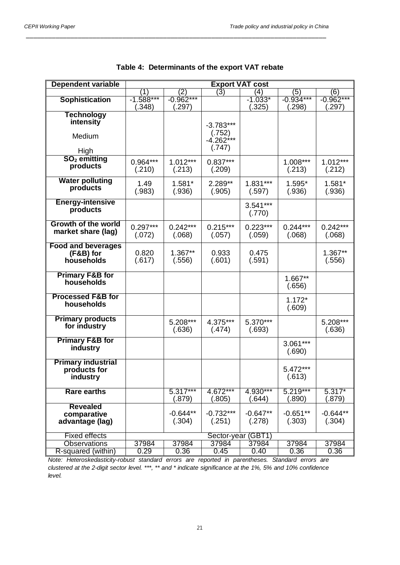| Dependent variable           | <b>Export VAT cost</b> |             |                    |            |             |             |  |
|------------------------------|------------------------|-------------|--------------------|------------|-------------|-------------|--|
|                              | 1                      | (2)         | (3)                | (4)        | (5)         | (6)         |  |
| <b>Sophistication</b>        | $-1.588***$            | $-0.962***$ |                    | $-1.033*$  | $-0.934***$ | $-0.962***$ |  |
|                              | (.348)                 | .297)       |                    | (.325)     | (.298)      | (.297)      |  |
| Technology                   |                        |             |                    |            |             |             |  |
| intensity                    |                        |             | $-3.783***$        |            |             |             |  |
|                              |                        |             | (.752)             |            |             |             |  |
| Medium                       |                        |             | $-4.262***$        |            |             |             |  |
|                              |                        |             | (.747)             |            |             |             |  |
| High                         |                        |             |                    |            |             |             |  |
| $SO2$ emitting               | $0.964***$             | $1.012***$  | $0.837***$         |            | 1.008***    | $1.012***$  |  |
| products                     | (.210)                 | (.213)      | (.209)             |            | (.213)      | (.212)      |  |
|                              |                        |             |                    |            |             |             |  |
| <b>Water polluting</b>       | 1.49                   | 1.581*      | 2.289**            | 1.831***   | 1.595*      | 1.581*      |  |
| products                     | (.983)                 | (.936)      | (.905)             | (.597)     | (.936)      | (.936)      |  |
| <b>Energy-intensive</b>      |                        |             |                    |            |             |             |  |
| products                     |                        |             |                    | $3.541***$ |             |             |  |
|                              |                        |             |                    | (.770)     |             |             |  |
| Growth of the world          | $0.297***$             | $0.242***$  | $0.215***$         | $0.223***$ | $0.244***$  | $0.242***$  |  |
| market share (lag)           | (.072)                 |             |                    |            | (.068)      |             |  |
|                              |                        | (.068)      | (.057)             | (.059)     |             | (.068)      |  |
| <b>Food and beverages</b>    |                        |             |                    |            |             |             |  |
| (F&B) for                    | 0.820                  | $1.367**$   | 0.933              | 0.475      |             | 1.367**     |  |
| households                   | (.617)                 | (.556)      | (.601)             | (.591)     |             | (.556)      |  |
|                              |                        |             |                    |            |             |             |  |
| <b>Primary F&amp;B for</b>   |                        |             |                    |            | 1.667**     |             |  |
| households                   |                        |             |                    |            | (.656)      |             |  |
| <b>Processed F&amp;B for</b> |                        |             |                    |            |             |             |  |
| households                   |                        |             |                    |            | $1.172*$    |             |  |
|                              |                        |             |                    |            | (.609)      |             |  |
| <b>Primary products</b>      |                        |             |                    | 5.370***   |             |             |  |
| for industry                 |                        | 5.208***    | 4.375***           |            |             | 5.208***    |  |
|                              |                        | (.636)      | (.474)             | (.693)     |             | (.636)      |  |
| <b>Primary F&amp;B for</b>   |                        |             |                    |            | $3.061***$  |             |  |
| industry                     |                        |             |                    |            | (.690)      |             |  |
|                              |                        |             |                    |            |             |             |  |
| <b>Primary industrial</b>    |                        |             |                    |            | $5.472***$  |             |  |
| products for                 |                        |             |                    |            |             |             |  |
| industry                     |                        |             |                    |            | (.613)      |             |  |
| <b>Rare earths</b>           |                        | $5.317***$  | 4.672***           | 4.930***   | $5.219***$  | $5.317*$    |  |
|                              |                        | (.879)      | (.805)             | (.644)     | (.890)      | (.879)      |  |
| <b>Revealed</b>              |                        |             |                    |            |             |             |  |
| comparative                  |                        | $-0.644**$  | $-0.732***$        | $-0.647**$ | $-0.651**$  | $-0.644**$  |  |
| advantage (lag)              |                        | (.304)      | (.251)             | (.278)     | (.303)      | (.304)      |  |
|                              |                        |             |                    |            |             |             |  |
| <b>Fixed effects</b>         |                        |             | Sector-year (GBT1) |            |             |             |  |
| <b>Observations</b>          | 37984                  | 37984       | 37984              | 37984      | 37984       | 37984       |  |
| R-squared (within)           | 0.29                   | 0.36        | 0.45               | 0.40       | 0.36        | 0.36        |  |

|  | Table 4: Determinants of the export VAT rebate |  |  |  |  |
|--|------------------------------------------------|--|--|--|--|
|--|------------------------------------------------|--|--|--|--|

\_\_\_\_\_\_\_\_\_\_\_\_\_\_\_\_\_\_\_\_\_\_\_\_\_\_\_\_\_\_\_\_\_\_\_\_\_\_\_\_\_\_\_\_\_\_\_\_\_\_\_\_\_\_\_\_\_\_\_\_\_\_\_\_\_\_\_\_\_\_\_\_\_\_\_\_\_\_\_\_\_

*Note: Heteroskedasticity-robust standard errors are reported in parentheses. Standard errors are clustered at the 2-digit sector level. \*\*\*, \*\* and \* indicate significance at the 1%, 5% and 10% confidence level.*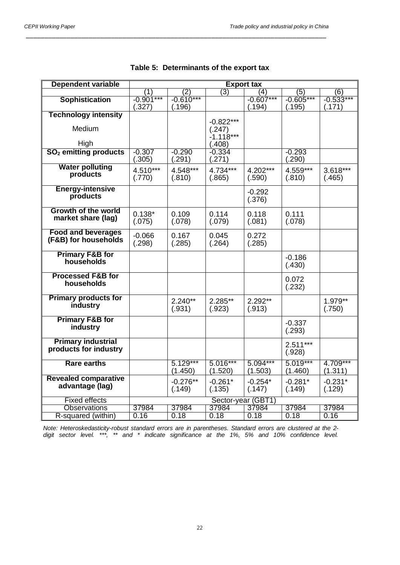| Dependent variable                | <b>Export tax</b> |               |                       |               |               |               |  |
|-----------------------------------|-------------------|---------------|-----------------------|---------------|---------------|---------------|--|
|                                   | 11                | (2)           | $\overline{3})$       | (4)           | (5)           | (6)           |  |
| <b>Sophistication</b>             | $-0.901***$       | $-0.610***$   |                       | $-0.607***$   | $-0.605***$   | $-0.533***$   |  |
|                                   | (.327)            | (.196)        |                       | (.194)        | (.195)        | (.171)        |  |
| <b>Technology intensity</b>       |                   |               |                       |               |               |               |  |
| Medium                            |                   |               | $-0.822***$           |               |               |               |  |
|                                   |                   |               | (.247)<br>$-1.118***$ |               |               |               |  |
| High                              |                   |               | (.408)                |               |               |               |  |
| SO <sub>2</sub> emitting products | $-0.307$          | $-0.290$      | $-0.334$              |               | $-0.293$      |               |  |
|                                   | (.305)            | (.291)        | (.271)                |               | (.290)        |               |  |
| <b>Water polluting</b>            | 4.510***          |               | 4.734***              |               |               |               |  |
| products                          |                   | 4.548***      |                       | 4.202***      | 4.559***      | 3.618***      |  |
|                                   | (.770)            | (.810)        | (.865)                | (.590)        | (.810)        | (.465)        |  |
| <b>Energy-intensive</b>           |                   |               |                       | $-0.292$      |               |               |  |
| products                          |                   |               |                       | (.376)        |               |               |  |
| <b>Growth of the world</b>        |                   |               |                       |               |               |               |  |
| market share (lag)                | $0.138*$          | 0.109         | 0.114                 | 0.118         | 0.111         |               |  |
|                                   | (.075)            | (.078)        | (.079)                | (.081)        | (.078)        |               |  |
| <b>Food and beverages</b>         |                   |               |                       |               |               |               |  |
| (F&B) for households              | $-0.066$          | 0.167         | 0.045                 | 0.272         |               |               |  |
|                                   | (.298)            | (.285)        | (.264)                | (.285)        |               |               |  |
| <b>Primary F&amp;B for</b>        |                   |               |                       |               | $-0.186$      |               |  |
| households                        |                   |               |                       |               | (.430)        |               |  |
| <b>Processed F&amp;B for</b>      |                   |               |                       |               |               |               |  |
| households                        |                   |               |                       |               | 0.072         |               |  |
|                                   |                   |               |                       |               | (.232)        |               |  |
| <b>Primary products for</b>       |                   | $2.240**$     | 2.285**               | 2.292**       |               | 1.979**       |  |
| industry                          |                   | (.931)        | (.923)                | (.913)        |               | (.750)        |  |
|                                   |                   |               |                       |               |               |               |  |
| <b>Primary F&amp;B for</b>        |                   |               |                       |               | $-0.337$      |               |  |
| industry                          |                   |               |                       |               | (.293)        |               |  |
| <b>Primary industrial</b>         |                   |               |                       |               |               |               |  |
| products for industry             |                   |               |                       |               | $2.511***$    |               |  |
|                                   |                   |               |                       |               | (.928)        |               |  |
| <b>Rare earths</b>                |                   | $5.129***$    | 5.016***              | 5.094***      | $5.019***$    | 4.709***      |  |
|                                   |                   | (1.450)       | (1.520)               | (1.503)       | (1.460)       | (1.311)       |  |
| <b>Revealed comparative</b>       |                   | $-0.276**$    | $-0.261*$             | $-0.254*$     | $-0.281*$     | $-0.231*$     |  |
| advantage (lag)                   |                   | (.149)        | (.135)                | (.147)        | (.149)        | (.129)        |  |
|                                   |                   |               |                       |               |               |               |  |
| <b>Fixed effects</b>              |                   |               | Sector-year (GBT1)    |               |               |               |  |
| <b>Observations</b>               | 37984<br>0.16     | 37984<br>0.18 | 37984<br>0.18         | 37984<br>0.18 | 37984<br>0.18 | 37984<br>0.16 |  |
| R-squared (within)                |                   |               |                       |               |               |               |  |

|  | Table 5: Determinants of the export tax |  |  |
|--|-----------------------------------------|--|--|
|--|-----------------------------------------|--|--|

\_\_\_\_\_\_\_\_\_\_\_\_\_\_\_\_\_\_\_\_\_\_\_\_\_\_\_\_\_\_\_\_\_\_\_\_\_\_\_\_\_\_\_\_\_\_\_\_\_\_\_\_\_\_\_\_\_\_\_\_\_\_\_\_\_\_\_\_\_\_\_\_\_\_\_\_\_\_\_\_\_

*Note: Heteroskedasticity-robust standard errors are in parentheses. Standard errors are clustered at the 2 digit sector level. \*\*\*, \*\* and \* indicate significance at the 1%, 5% and 10% confidence level.*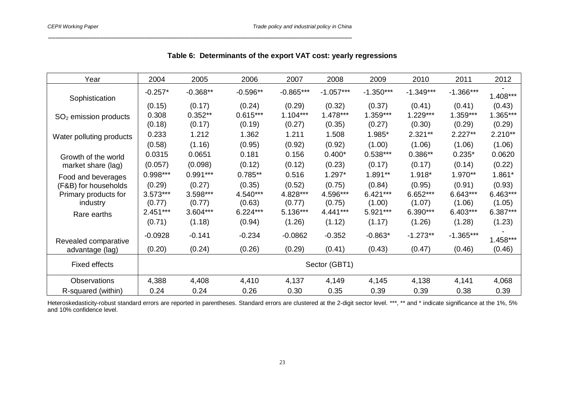| Year                     | 2004       | 2005       | 2006       | 2007        | 2008          | 2009        | 2010        | 2011        | 2012       |
|--------------------------|------------|------------|------------|-------------|---------------|-------------|-------------|-------------|------------|
| Sophistication           | $-0.257*$  | $-0.368**$ | $-0.596**$ | $-0.865***$ | $-1.057***$   | $-1.350***$ | $-1.349***$ | $-1.366***$ | $1.408***$ |
|                          | (0.15)     | (0.17)     | (0.24)     | (0.29)      | (0.32)        | (0.37)      | (0.41)      | (0.41)      | (0.43)     |
| $SO2$ emission products  | 0.308      | $0.352**$  | $0.615***$ | $1.104***$  | $1.478***$    | $1.359***$  | 1.229***    | 1.359***    | 1.365***   |
|                          | (0.18)     | (0.17)     | (0.19)     | (0.27)      | (0.35)        | (0.27)      | (0.30)      | (0.29)      | (0.29)     |
| Water polluting products | 0.233      | 1.212      | 1.362      | 1.211       | 1.508         | 1.985*      | $2.321**$   | $2.227**$   | $2.210**$  |
|                          | (0.58)     | (1.16)     | (0.95)     | (0.92)      | (0.92)        | (1.00)      | (1.06)      | (1.06)      | (1.06)     |
| Growth of the world      | 0.0315     | 0.0651     | 0.181      | 0.156       | $0.400*$      | $0.538***$  | $0.386**$   | $0.235*$    | 0.0620     |
| market share (lag)       | (0.057)    | (0.098)    | (0.12)     | (0.12)      | (0.23)        | (0.17)      | (0.17)      | (0.14)      | (0.22)     |
| Food and beverages       | $0.998***$ | $0.991***$ | $0.785**$  | 0.516       | 1.297*        | 1.891**     | 1.918*      | 1.970**     | 1.861*     |
| (F&B) for households     | (0.29)     | (0.27)     | (0.35)     | (0.52)      | (0.75)        | (0.84)      | (0.95)      | (0.91)      | (0.93)     |
| Primary products for     | $3.573***$ | 3.598***   | 4.540***   | 4.828***    | 4.596***      | $6.421***$  | $6.652***$  | 6.643***    | 6.463***   |
| industry                 | (0.77)     | (0.77)     | (0.63)     | (0.77)      | (0.75)        | (1.00)      | (1.07)      | (1.06)      | (1.05)     |
| Rare earths              | $2.451***$ | 3.604***   | $6.224***$ | 5.136***    | 4.441***      | 5.921***    | 6.390***    | 6.403***    | 6.387***   |
|                          | (0.71)     | (1.18)     | (0.94)     | (1.26)      | (1.12)        | (1.17)      | (1.26)      | (1.28)      | (1.23)     |
| Revealed comparative     | $-0.0928$  | $-0.141$   | $-0.234$   | $-0.0862$   | $-0.352$      | $-0.863*$   | $-1.273**$  | $-1.365***$ | $1.458***$ |
| advantage (lag)          | (0.20)     | (0.24)     | (0.26)     | (0.29)      | (0.41)        | (0.43)      | (0.47)      | (0.46)      | (0.46)     |
| <b>Fixed effects</b>     |            |            |            |             | Sector (GBT1) |             |             |             |            |
| <b>Observations</b>      | 4,388      | 4,408      | 4,410      | 4,137       | 4,149         | 4,145       | 4,138       | 4,141       | 4,068      |
| R-squared (within)       | 0.24       | 0.24       | 0.26       | 0.30        | 0.35          | 0.39        | 0.39        | 0.38        | 0.39       |

|  |  |  |  | Table 6: Determinants of the export VAT cost: yearly regressions |
|--|--|--|--|------------------------------------------------------------------|
|--|--|--|--|------------------------------------------------------------------|

\_\_\_\_\_\_\_\_\_\_\_\_\_\_\_\_\_\_\_\_\_\_\_\_\_\_\_\_\_\_\_\_\_\_\_\_\_\_\_\_\_\_\_\_\_\_\_\_\_\_\_\_\_\_\_\_\_\_\_\_\_\_\_\_\_\_\_\_\_\_\_\_\_\_\_\_\_\_\_\_\_\_

Heteroskedasticity-robust standard errors are reported in parentheses. Standard errors are clustered at the 2-digit sector level. \*\*\*, \*\* and \* indicate significance at the 1%, 5% and 10% confidence level.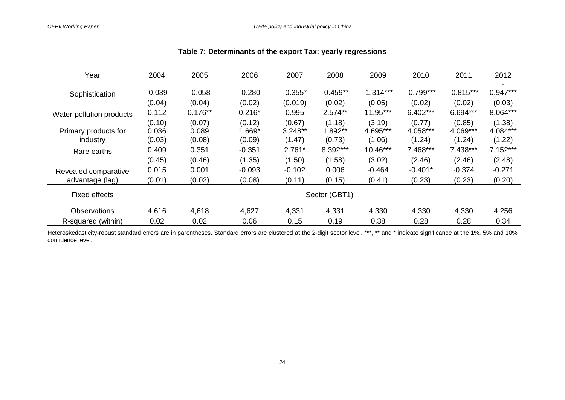| Year                     | 2004          | 2005      | 2006     | 2007      | 2008       | 2009        | 2010        | 2011        | 2012       |
|--------------------------|---------------|-----------|----------|-----------|------------|-------------|-------------|-------------|------------|
|                          |               |           |          |           |            |             |             |             |            |
| Sophistication           | $-0.039$      | $-0.058$  | $-0.280$ | $-0.355*$ | $-0.459**$ | $-1.314***$ | $-0.799***$ | $-0.815***$ | $0.947***$ |
|                          | (0.04)        | (0.04)    | (0.02)   | (0.019)   | (0.02)     | (0.05)      | (0.02)      | (0.02)      | (0.03)     |
| Water-pollution products | 0.112         | $0.176**$ | $0.216*$ | 0.995     | $2.574**$  | 11.95***    | $6.402***$  | 6.694***    | 8.064***   |
|                          | (0.10)        | (0.07)    | (0.12)   | (0.67)    | (1.18)     | (3.19)      | (0.77)      | (0.85)      | (1.38)     |
| Primary products for     | 0.036         | 0.089     | 1.669*   | $3.248**$ | 1.892**    | 4.695***    | 4.058***    | 4.069***    | 4.084***   |
| industry                 | (0.03)        | (0.08)    | (0.09)   | (1.47)    | (0.73)     | (1.06)      | (1.24)      | (1.24)      | (1.22)     |
| Rare earths              | 0.409         | 0.351     | $-0.351$ | $2.761*$  | 8.392***   | 10.46***    | 7.468***    | 7.438***    | $7.152***$ |
|                          | (0.45)        | (0.46)    | (1.35)   | (1.50)    | (1.58)     | (3.02)      | (2.46)      | (2.46)      | (2.48)     |
| Revealed comparative     | 0.015         | 0.001     | $-0.093$ | $-0.102$  | 0.006      | $-0.464$    | $-0.401*$   | $-0.374$    | $-0.271$   |
| advantage (lag)          | (0.01)        | (0.02)    | (0.08)   | (0.11)    | (0.15)     | (0.41)      | (0.23)      | (0.23)      | (0.20)     |
| <b>Fixed effects</b>     | Sector (GBT1) |           |          |           |            |             |             |             |            |
| <b>Observations</b>      | 4,616         | 4,618     | 4,627    | 4,331     | 4,331      | 4,330       | 4,330       | 4,330       | 4,256      |
| R-squared (within)       | 0.02          | 0.02      | 0.06     | 0.15      | 0.19       | 0.38        | 0.28        | 0.28        | 0.34       |

| Table 7: Determinants of the export Tax: yearly regressions |  |  |  |  |
|-------------------------------------------------------------|--|--|--|--|
|-------------------------------------------------------------|--|--|--|--|

\_\_\_\_\_\_\_\_\_\_\_\_\_\_\_\_\_\_\_\_\_\_\_\_\_\_\_\_\_\_\_\_\_\_\_\_\_\_\_\_\_\_\_\_\_\_\_\_\_\_\_\_\_\_\_\_\_\_\_\_\_\_\_\_\_\_\_\_\_\_\_\_\_\_\_\_\_\_\_\_\_\_

Heteroskedasticity-robust standard errors are in parentheses. Standard errors are clustered at the 2-digit sector level. \*\*\*, \*\* and \* indicate significance at the 1%, 5% and 10% confidence level.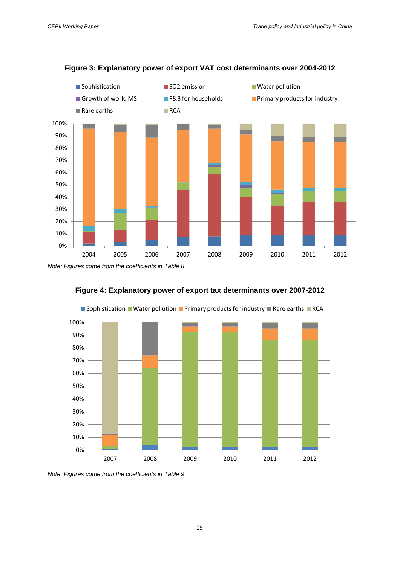

#### **Figure 3: Explanatory power of export VAT cost determinants over 2004-2012**

\_\_\_\_\_\_\_\_\_\_\_\_\_\_\_\_\_\_\_\_\_\_\_\_\_\_\_\_\_\_\_\_\_\_\_\_\_\_\_\_\_\_\_\_\_\_\_\_\_\_\_\_\_\_\_\_\_\_\_\_\_\_\_\_\_\_\_\_\_\_\_\_\_\_\_\_\_\_\_\_\_\_





Sophistication Water pollution Primary products for industry Rare earths RCA

*Note: Figures come from the coefficients in Table 9*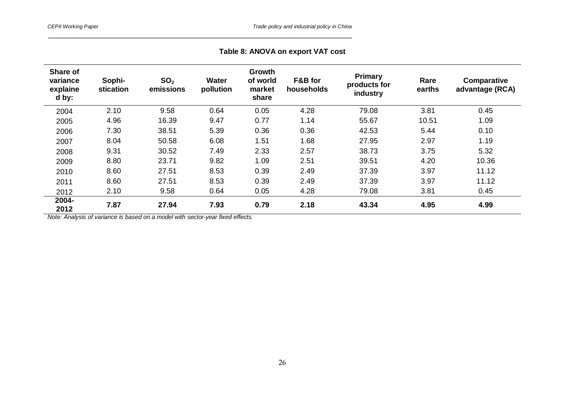## **Table 8: ANOVA on export VAT cost**

\_\_\_\_\_\_\_\_\_\_\_\_\_\_\_\_\_\_\_\_\_\_\_\_\_\_\_\_\_\_\_\_\_\_\_\_\_\_\_\_\_\_\_\_\_\_\_\_\_\_\_\_\_\_\_\_\_\_\_\_\_\_\_\_\_\_\_\_\_\_\_\_\_\_\_\_\_\_\_\_\_\_

| Share of<br>variance<br>explaine<br>d by: | Sophi-<br>stication | SO <sub>2</sub><br>emissions | <b>Water</b><br>pollution | Growth<br>of world<br>market<br>share | F&B for<br>households | Primary<br>products for<br>industry | Rare<br>earths | <b>Comparative</b><br>advantage (RCA) |
|-------------------------------------------|---------------------|------------------------------|---------------------------|---------------------------------------|-----------------------|-------------------------------------|----------------|---------------------------------------|
| 2004                                      | 2.10                | 9.58                         | 0.64                      | 0.05                                  | 4.28                  | 79.08                               | 3.81           | 0.45                                  |
| 2005                                      | 4.96                | 16.39                        | 9.47                      | 0.77                                  | 1.14                  | 55.67                               | 10.51          | 1.09                                  |
| 2006                                      | 7.30                | 38.51                        | 5.39                      | 0.36                                  | 0.36                  | 42.53                               | 5.44           | 0.10                                  |
| 2007                                      | 8.04                | 50.58                        | 6.08                      | 1.51                                  | 1.68                  | 27.95                               | 2.97           | 1.19                                  |
| 2008                                      | 9.31                | 30.52                        | 7.49                      | 2.33                                  | 2.57                  | 38.73                               | 3.75           | 5.32                                  |
| 2009                                      | 8.80                | 23.71                        | 9.82                      | 1.09                                  | 2.51                  | 39.51                               | 4.20           | 10.36                                 |
| 2010                                      | 8.60                | 27.51                        | 8.53                      | 0.39                                  | 2.49                  | 37.39                               | 3.97           | 11.12                                 |
| 2011                                      | 8.60                | 27.51                        | 8.53                      | 0.39                                  | 2.49                  | 37.39                               | 3.97           | 11.12                                 |
| 2012                                      | 2.10                | 9.58                         | 0.64                      | 0.05                                  | 4.28                  | 79.08                               | 3.81           | 0.45                                  |
| 2004-<br>2012                             | 7.87                | 27.94                        | 7.93                      | 0.79                                  | 2.18                  | 43.34                               | 4.95           | 4.99                                  |

*Note: Analysis of variance is based on a model with sector-year fixed effects.*